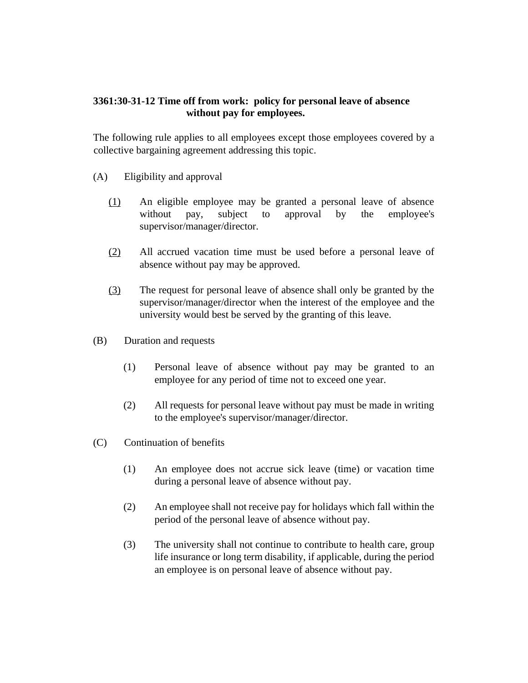## **3361:30-31-12 Time off from work: policy for personal leave of absence without pay for employees.**

The following rule applies to all employees except those employees covered by a collective bargaining agreement addressing this topic.

- (A) Eligibility and approval
	- (1) An eligible employee may be granted a personal leave of absence without pay, subject to approval by the employee's supervisor/manager/director.
	- (2) All accrued vacation time must be used before a personal leave of absence without pay may be approved.
	- (3) The request for personal leave of absence shall only be granted by the supervisor/manager/director when the interest of the employee and the university would best be served by the granting of this leave.
- (B) Duration and requests
	- (1) Personal leave of absence without pay may be granted to an employee for any period of time not to exceed one year.
	- (2) All requests for personal leave without pay must be made in writing to the employee's supervisor/manager/director.
- (C) Continuation of benefits
	- (1) An employee does not accrue sick leave (time) or vacation time during a personal leave of absence without pay.
	- (2) An employee shall not receive pay for holidays which fall within the period of the personal leave of absence without pay.
	- (3) The university shall not continue to contribute to health care, group life insurance or long term disability, if applicable, during the period an employee is on personal leave of absence without pay.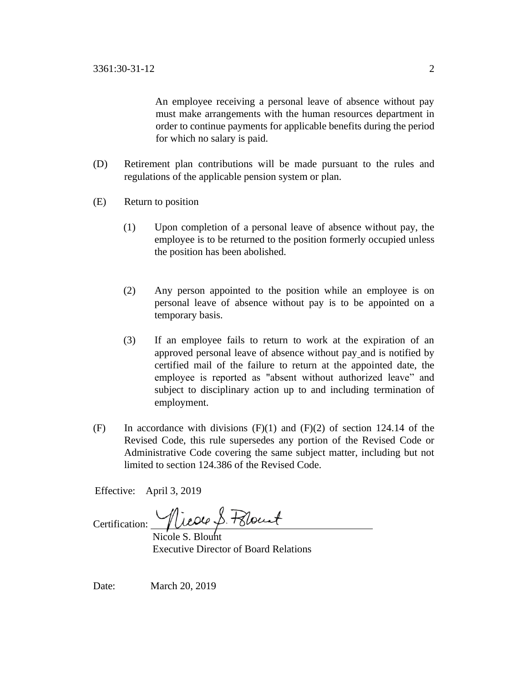An employee receiving a personal leave of absence without pay must make arrangements with the human resources department in order to continue payments for applicable benefits during the period for which no salary is paid.

- (D) Retirement plan contributions will be made pursuant to the rules and regulations of the applicable pension system or plan.
- (E) Return to position
	- (1) Upon completion of a personal leave of absence without pay, the employee is to be returned to the position formerly occupied unless the position has been abolished.
	- (2) Any person appointed to the position while an employee is on personal leave of absence without pay is to be appointed on a temporary basis.
	- (3) If an employee fails to return to work at the expiration of an approved personal leave of absence without pay and is notified by certified mail of the failure to return at the appointed date, the employee is reported as "absent without authorized leave" and subject to disciplinary action up to and including termination of employment.
- (F) In accordance with divisions  $(F)(1)$  and  $(F)(2)$  of section 124.14 of the Revised Code, this rule supersedes any portion of the Revised Code or Administrative Code covering the same subject matter, including but not limited to section 124.386 of the Revised Code.

Effective: April 3, 2019

Certification: *Nicole S. Polount* 

 Nicole S. Blount Executive Director of Board Relations

Date: March 20, 2019